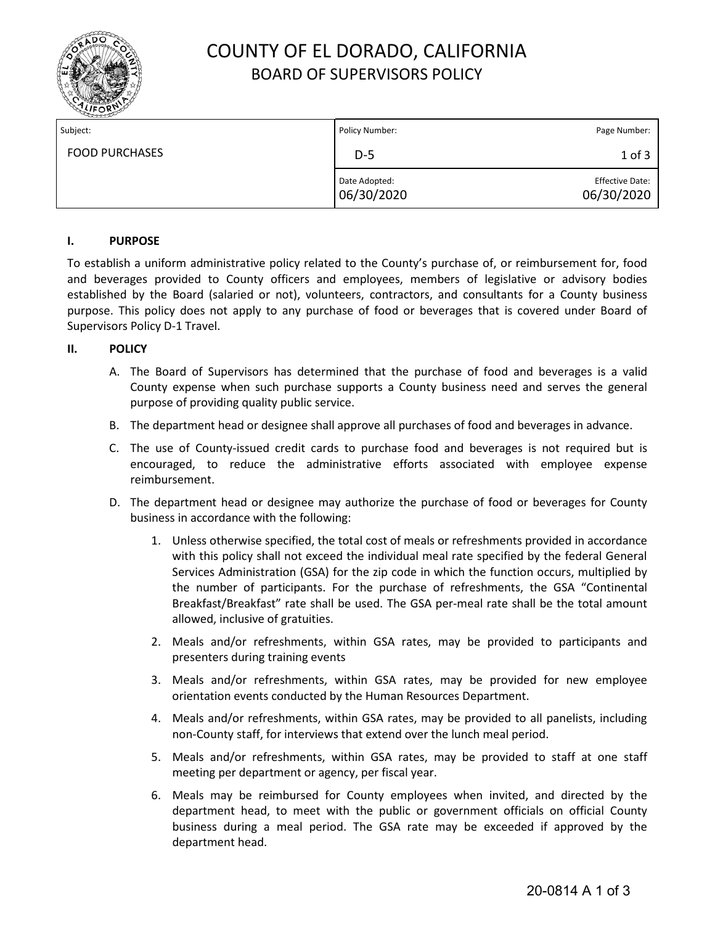

# COUNTY OF EL DORADO, CALIFORNIA BOARD OF SUPERVISORS POLICY

| Subject:              | Policy Number:              | Page Number:                         |
|-----------------------|-----------------------------|--------------------------------------|
| <b>FOOD PURCHASES</b> | $D-5$                       | $1$ of $3$                           |
|                       | Date Adopted:<br>06/30/2020 | <b>Effective Date:</b><br>06/30/2020 |

### **I. PURPOSE**

To establish a uniform administrative policy related to the County's purchase of, or reimbursement for, food and beverages provided to County officers and employees, members of legislative or advisory bodies established by the Board (salaried or not), volunteers, contractors, and consultants for a County business purpose. This policy does not apply to any purchase of food or beverages that is covered under Board of Supervisors Policy D-1 Travel.

### **II. POLICY**

- A. The Board of Supervisors has determined that the purchase of food and beverages is a valid County expense when such purchase supports a County business need and serves the general purpose of providing quality public service.
- B. The department head or designee shall approve all purchases of food and beverages in advance.
- C. The use of County-issued credit cards to purchase food and beverages is not required but is encouraged, to reduce the administrative efforts associated with employee expense reimbursement.
- D. The department head or designee may authorize the purchase of food or beverages for County business in accordance with the following:
	- 1. Unless otherwise specified, the total cost of meals or refreshments provided in accordance with this policy shall not exceed the individual meal rate specified by the federal General Services Administration (GSA) for the zip code in which the function occurs, multiplied by the number of participants. For the purchase of refreshments, the GSA "Continental Breakfast/Breakfast" rate shall be used. The GSA per-meal rate shall be the total amount allowed, inclusive of gratuities.
	- 2. Meals and/or refreshments, within GSA rates, may be provided to participants and presenters during training events
	- 3. Meals and/or refreshments, within GSA rates, may be provided for new employee orientation events conducted by the Human Resources Department.
	- 4. Meals and/or refreshments, within GSA rates, may be provided to all panelists, including non-County staff, for interviews that extend over the lunch meal period.
	- 5. Meals and/or refreshments, within GSA rates, may be provided to staff at one staff meeting per department or agency, per fiscal year.
	- 6. Meals may be reimbursed for County employees when invited, and directed by the department head, to meet with the public or government officials on official County business during a meal period. The GSA rate may be exceeded if approved by the department head.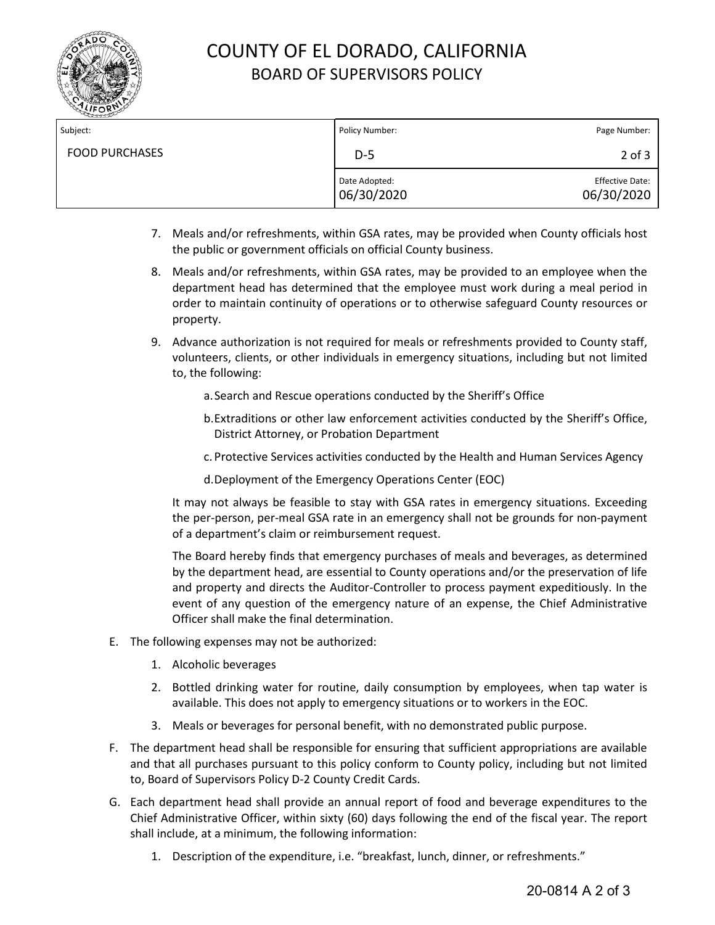

# COUNTY OF EL DORADO, CALIFORNIA BOARD OF SUPERVISORS POLICY

| Subject:              | Policy Number:              | Page Number:                         |
|-----------------------|-----------------------------|--------------------------------------|
| <b>FOOD PURCHASES</b> | $D-5$                       | $2$ of $3$                           |
|                       | Date Adopted:<br>06/30/2020 | <b>Effective Date:</b><br>06/30/2020 |

- 7. Meals and/or refreshments, within GSA rates, may be provided when County officials host the public or government officials on official County business.
- 8. Meals and/or refreshments, within GSA rates, may be provided to an employee when the department head has determined that the employee must work during a meal period in order to maintain continuity of operations or to otherwise safeguard County resources or property.
- 9. Advance authorization is not required for meals or refreshments provided to County staff, volunteers, clients, or other individuals in emergency situations, including but not limited to, the following:
	- a.Search and Rescue operations conducted by the Sheriff's Office
	- b.Extraditions or other law enforcement activities conducted by the Sheriff's Office, District Attorney, or Probation Department
	- c. Protective Services activities conducted by the Health and Human Services Agency
	- d.Deployment of the Emergency Operations Center (EOC)

It may not always be feasible to stay with GSA rates in emergency situations. Exceeding the per-person, per-meal GSA rate in an emergency shall not be grounds for non-payment of a department's claim or reimbursement request.

The Board hereby finds that emergency purchases of meals and beverages, as determined by the department head, are essential to County operations and/or the preservation of life and property and directs the Auditor-Controller to process payment expeditiously. In the event of any question of the emergency nature of an expense, the Chief Administrative Officer shall make the final determination.

- E. The following expenses may not be authorized:
	- 1. Alcoholic beverages
	- 2. Bottled drinking water for routine, daily consumption by employees, when tap water is available. This does not apply to emergency situations or to workers in the EOC.
	- 3. Meals or beverages for personal benefit, with no demonstrated public purpose.
- F. The department head shall be responsible for ensuring that sufficient appropriations are available and that all purchases pursuant to this policy conform to County policy, including but not limited to, Board of Supervisors Policy D-2 County Credit Cards.
- G. Each department head shall provide an annual report of food and beverage expenditures to the Chief Administrative Officer, within sixty (60) days following the end of the fiscal year. The report shall include, at a minimum, the following information:
	- 1. Description of the expenditure, i.e. "breakfast, lunch, dinner, or refreshments."